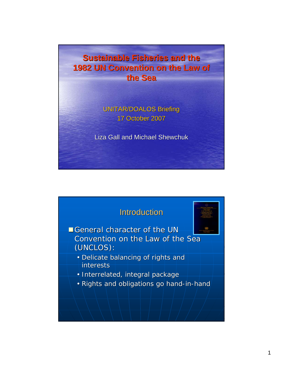**Sustainable Fisheries and the 1982 UN Convention on the Law of the Sea the Sea**

> UNITAR/DOALOS Briefing 17 October 2007

Liza Gall and Michael Shewchuk

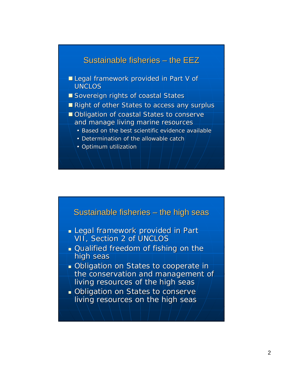## Sustainable fisheries  $-$  the EEZ

- Legal framework provided in Part V of UNCLOS
- $\blacksquare$  Sovereign rights of coastal States
- Right of other States to access any surplus
- $\blacksquare$  Obligation of coastal States to conserve and manage living marine resources
	- Based on the best scientific evidence available
	- Determination of the allowable catch
	- Optimum utilization



- **Legal framework provided in Part** VII, Section 2 of UNCLOS
- **Qualified freedom of fishing on the** high seas
- Obligation on States to cooperate in Obligation on States to cooperate in the conservation and management of living resources of the high seas
- Obligation on States to conserve living resources on the high seas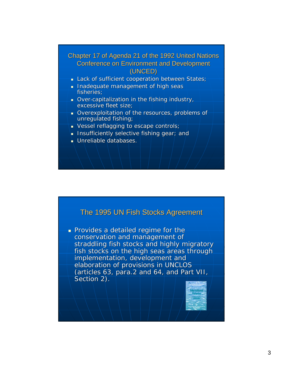#### Chapter 17 of Agenda 21 of the 1992 United Nations Conference on Environment and Development Conference on Environment and Development (UNCED)

- Lack of sufficient cooperation between States;
- Inadequate management of high seas fisheries;
- Over-capitalization in the fishing industry, excessive fleet size;
- Overexploitation of the resources, problems of unregulated fishing;
- $\blacksquare$  Vessel reflagging to escape controls;
- **Insufficiently selective fishing gear; and**
- $\blacksquare$  Unreliable databases.

## The 1995 UN Fish Stocks Agreement

**Provides a detailed regime for the** conservation and management of straddling fish stocks and highly migratory fish stocks on the high seas areas through implementation, development and elaboration of provisions in UNCLOS (articles 63, para.2 and 64, and Part VII, Section 2).

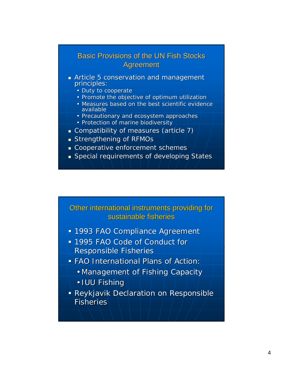## **Basic Provisions of the UN Fish Stocks Agreement**

- Article 5 conservation and management principles:
	- Duty to cooperate
	- Promote the objective of optimum utilization
	- Measures based on the best scientific evidence available
	- Precautionary and ecosystem approaches
	- Protection of marine biodiversity
- Compatibility of measures (article  $7$ )
- $\blacksquare$  Strengthening of RFMOs
- Cooperative enforcement schemes
- Special requirements of developing States

### Other international instruments providing for Other international instruments providing for sustainable fisheries

- **1993 FAO Compliance Agreement**
- 1995 FAO Code of Conduct for 1995 FAO Code of Conduct for Responsible Fisheries
- FAO International Plans of Action: FAO International Plans of Action:
	- Management of Fishing Capacity
	- IUU Fishing
- Reykjavik Declaration on Responsible Fisheries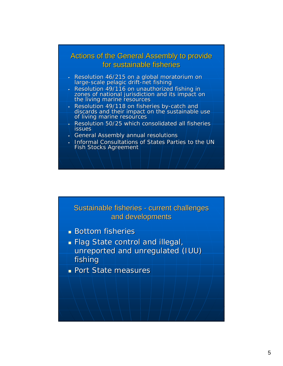## Actions of the General Assembly to provide for sustainable fisheries

- Resolution 46/215 on a global moratorium on large-scale pelagic drift-net fishing
- Resolution 49/116 on unauthorized fishing in<br>uthorize of national jurisdiction and its impact on<br>the living marine resources
- Resolution 49/118 on fisheries by-catch and discards and their impact on the sustainable use of living marine resources
- Resolution 50/25 which consolidated all fisheries **issues**
- General Assembly annual resolutions
- Informal Consultations of States Parties to the UN Fish Stocks Agreement



- **Bottom fisheries**
- **Flag State control and illegal,**
- unreported and unregulated (IUU) fishing
- **Port State measures**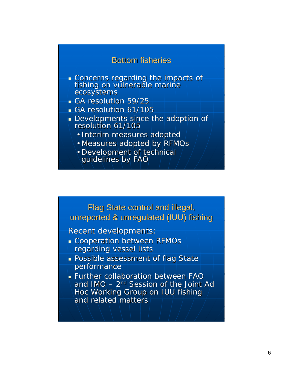## **Bottom fisheries**

- Concerns regarding the impacts of fishing on vulnerable marine ecosystems ecosystems
- GA resolution 59/25
- GA resolution 61/105
- Developments since the adoption of resolution 61/105
	- Interim measures adopted
	- Measures adopted by RFMOs
	- Development of technical guidelines by FAO

Flag State control and illegal, unreported & unregulated (IUU) fishing

Recent developments:

- **Cooperation between RFMOs** regarding vessel lists
- **Possible assessment of flag State** performance
- **Further collaboration between FAO** and  $IMO - 2<sup>nd</sup>$  Session of the Joint Ad Hoc Working Group on IUU fishing and related matters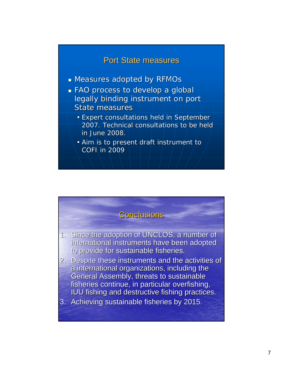## **Port State measures**

- **Measures adopted by RFMOs**
- FAO process to develop a global FAO process to develop a global legally binding instrument on port **State measures** 
	- Expert consultations held in September 2007. Technical consultations to be held 2007. Technical consultations to be held in June 2008.
	- Aim is to present draft instrument to COFI in 2009